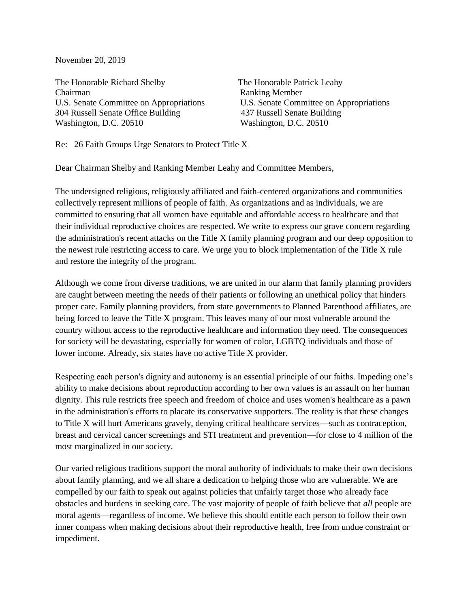November 20, 2019

The Honorable Richard Shelby The Honorable Patrick Leahy Chairman Ranking Member U.S. Senate Committee on Appropriations U.S. Senate Committee on Appropriations 304 Russell Senate Office Building 437 Russell Senate Building Washington, D.C. 20510 Washington, D.C. 20510

Re: 26 Faith Groups Urge Senators to Protect Title X

Dear Chairman Shelby and Ranking Member Leahy and Committee Members,

The undersigned religious, religiously affiliated and faith-centered organizations and communities collectively represent millions of people of faith. As organizations and as individuals, we are committed to ensuring that all women have equitable and affordable access to healthcare and that their individual reproductive choices are respected. We write to express our grave concern regarding the administration's recent attacks on the Title X family planning program and our deep opposition to the newest rule restricting access to care. We urge you to block implementation of the Title X rule and restore the integrity of the program.

Although we come from diverse traditions, we are united in our alarm that family planning providers are caught between meeting the needs of their patients or following an unethical policy that hinders proper care. Family planning providers, from state governments to Planned Parenthood affiliates, are being forced to leave the Title X program. This leaves many of our most vulnerable around the country without access to the reproductive healthcare and information they need. The consequences for society will be devastating, especially for women of color, LGBTQ individuals and those of lower income. Already, six states have no active Title X provider.

Respecting each person's dignity and autonomy is an essential principle of our faiths. Impeding one's ability to make decisions about reproduction according to her own values is an assault on her human dignity. This rule restricts free speech and freedom of choice and uses women's healthcare as a pawn in the administration's efforts to placate its conservative supporters. The reality is that these changes to Title X will hurt Americans gravely, denying critical healthcare services—such as contraception, breast and cervical cancer screenings and STI treatment and prevention—for close to 4 million of the most marginalized in our society.

Our varied religious traditions support the moral authority of individuals to make their own decisions about family planning, and we all share a dedication to helping those who are vulnerable. We are compelled by our faith to speak out against policies that unfairly target those who already face obstacles and burdens in seeking care. The vast majority of people of faith believe that *all* people are moral agents—regardless of income. We believe this should entitle each person to follow their own inner compass when making decisions about their reproductive health, free from undue constraint or impediment.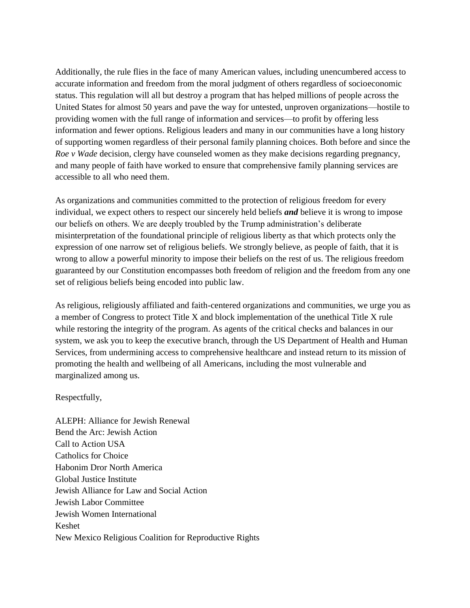Additionally, the rule flies in the face of many American values, including unencumbered access to accurate information and freedom from the moral judgment of others regardless of socioeconomic status. This regulation will all but destroy a program that has helped millions of people across the United States for almost 50 years and pave the way for untested, unproven organizations—hostile to providing women with the full range of information and services—to profit by offering less information and fewer options. Religious leaders and many in our communities have a long history of supporting women regardless of their personal family planning choices. Both before and since the *Roe v Wade* decision, clergy have counseled women as they make decisions regarding pregnancy, and many people of faith have worked to ensure that comprehensive family planning services are accessible to all who need them.

As organizations and communities committed to the protection of religious freedom for every individual, we expect others to respect our sincerely held beliefs *and* believe it is wrong to impose our beliefs on others. We are deeply troubled by the Trump administration's deliberate misinterpretation of the foundational principle of religious liberty as that which protects only the expression of one narrow set of religious beliefs. We strongly believe, as people of faith, that it is wrong to allow a powerful minority to impose their beliefs on the rest of us. The religious freedom guaranteed by our Constitution encompasses both freedom of religion and the freedom from any one set of religious beliefs being encoded into public law.

As religious, religiously affiliated and faith-centered organizations and communities, we urge you as a member of Congress to protect Title X and block implementation of the unethical Title X rule while restoring the integrity of the program. As agents of the critical checks and balances in our system, we ask you to keep the executive branch, through the US Department of Health and Human Services, from undermining access to comprehensive healthcare and instead return to its mission of promoting the health and wellbeing of all Americans, including the most vulnerable and marginalized among us.

## Respectfully,

ALEPH: Alliance for Jewish Renewal Bend the Arc: Jewish Action Call to Action USA Catholics for Choice Habonim Dror North America Global Justice Institute Jewish Alliance for Law and Social Action Jewish Labor Committee Jewish Women International Keshet New Mexico Religious Coalition for Reproductive Rights